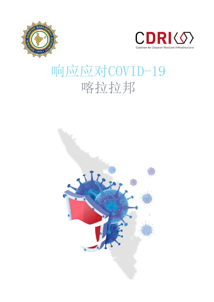



# 响应应对COVID-19 喀拉拉邦

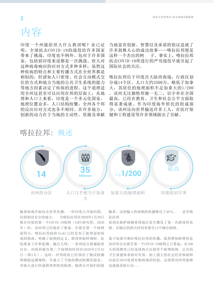

明,全球抗击COVID-19的战役给许多国家<br>带来了挑战,印度也不例外。包对于许多国 带来了挑战,印度也不例外。包对于许多国 家,包括括印度来说都是一次挑战。世人对 这种病毒响应的应对方式多种多样;虽然这 种疾病的特点和主要传播方式在全世界都是 相似的,但诸如人口密度、社会互动模式交 往的方式和地方当地的公共卫生系统的能力 等地方因素决定了疾病的进程。这个道理适 用全州这甚至可以应用在邦的层面上;从地 理和人口上来看,印度是一个多元化国家, 地理位置众多,人口结构纷繁,全州各个邦 的反应应对方式也各不相同。在许多地方, 创新的动力在于当地的主动性、资源及奉献 印度一个州能给世人什么教训呢?业已证

许多鼓舞人心的成功故事——喀拉拉邦便是 这样一个杰出的例 子。事实上,喀拉拉邦 国际社会的关注。 当地富有创新、智慧以及承诺的倡议造就了 抗击COVID-19所进行的严苛战役早就引起了

喀拉拉邦位于印度次大陆西南端, 行政区划 分成14个区。人口大约3500万,略低于加拿 大,其居住的地理面积不足加拿大的1/200 。该州无比独特邦独一无二, 识字率在全国 最高,已经在教育、卫生和社会公平方面取 得显著成就。作为印度海外侨民的组成部 分,该州还向世界输送许多工人,在医疗保 健和工程建设等许多领域做出了贡献。



### 喀拉拉邦: 概述

- 2020年12月12日の12番の一つ『スンジンロロン<br>回到相对安全的地方。 当喀拉拉邦在2020年1月30日 began to return home, to relative safety. When Kerala 报告印度的第一个COVID-19病例(IDFC研究所,2020 registered India's first COVID-19 case on 30th January, 年)时,该州邦已经做好了准备。在报告第一个病例 - 2020 (2020), the state was prepared. Four and state was prepared. For all the state was prepared. For all th<br>前四天, 喀拉拉邦政府(GoK)已经发布了新型冠状病 n: [2000] Registering its first case, Government of Kerala and Kerala and Kerala and Kerala and Kerala and Ker (Gok) had already released on the coronavirus-specific coronavirus-specific coro<br>院准备工作和监测。随后几周,一系列综合措施陆续 guidelines that established cases and the cases of the cases of the cases of the cases of the cases of the cas<br>出台。州政府报告第二个病例的时间在2020年2月42 sampling protocol, hospital preparedness and surveillance. 日(第4天)。这时,州邦政府已经修改了测试检测 Over the weeks that followed compressed of compressed of compressed of compressed of compressed of compressed <br>和跟踪追溯规程,并建立了当地的测试检测实验室。 measure were related out. By the time, the second case  $\frac{1}{2}$  the second case  $\frac{1}{2}$  the second case  $\frac{1}{2}$ 对病人进行快速筛查和检疫隔离,隔离分开他们的接 随着病毒开始向全世界传播,一些印度人开始回国,

and  $\alpha$  is contact that is parameter and isolation of the state of the state of the state of the state of the state of the state of the state of the state of the state of the state of the state of the state of the state 触者,这使输入性病例的传播推迟了40天, 直至喀 拉拉邦

………<br>看到在帕萨纳姆希塔地区发生爆发了第一次群体性疫 days, until Kerala witnessed its first cluster outbreak in the 情。在随后的两天时间里报告14个确诊病例。  $\frac{1}{2}$  to  $\frac{1}{2}$  (confirmed cases of 14 confirmed cases of 14 confirmed cases of 14 confirmed cases of 14 confirmed cases of 14 confirmed cases of 14 confirmed cases of 14 confirmed cases of 14 confirmed cases of 14

鉴于病毒早期在喀拉拉邦的传播, 值得赞扬称赞的是 Given the early spread of the virus in the virus in the virus in the virus in the virus in the virus in the vi<br>天的周期里已经连续两天出现零个新增病例。公共的 COMMANDADOSTXCOM AS TWO CONSECUTIVE zero new cases over the 100- day period from the day it 以前在2018处理尼帕病毒的经验,这使得该州邦能够 <sub>フ・12</sub>. ニューランニョン Hytorical is relatively its symphones of The Symphones of The Given its relatively in the Symphones o efficient public health care systems, backed by strong 该州邦自从报告第一个COVID-19病例之日算起, 在100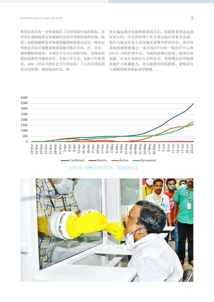喀拉拉邦早在一月份就做好了应对该流行病的准备。该 州邦在遏制病毒方面遵循经历时间考验的病例识别、隔 离、追踪接触和包含病毒的漏洞映射弱点定位。喀拉拉 邦的公共医疗保健系统的设施分散在在州、区、分区、 潘查雅特和病房。从基层卫生中心到医学院,各级政府 的医院都有明确的责任。实地工作人员,包括卫生检查 员、ASHA(经认可的社会卫生活动家)工人们以团队的 形式发挥第一道防线的作用,即

使在偏远地区也能够联系到人们。也能联系到边远地 区的人们。中层的协调工作主要由地区收集员完成, 他们与地区医务人员及地区级警官密切合作。该州邦 采取的旗舰措施之一是开发COVID的一线治疗中心和 COVID-19的护理中心。当地的检测实验室、按地区的 划拨,以及后来的步入式样品亭,使得喀拉拉邦能够 迅速扩大检测能力,并且随着时间的推移,能够进行 大规模的筛查和血清学检测。。



COVID-19喀拉拉邦图,2020年6月

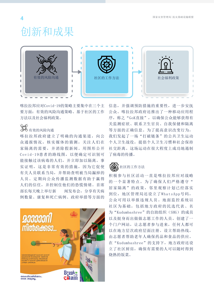### 创新和成果  $I = \frac{1}{2}$



喀拉拉邦应对Covid-19的策略主要集中在三个主 要方面: 有效的风险沟通策略、基于社区的工作 方法以及社会福利政策。

#### 有效的风险沟通 social welfare policies.

喀拉拉邦政府建立了明确的沟通渠道,向公 众通报情况,核实媒体的猜测,关注人们在 家隔离的需要,并消除假新闻。用图形公开 Covid-19患者的路线图, 以便确定可识别可 能接触过该病毒的人们,并立即加以隔离。事 实证明,这是非常有效的措施,因为它促使 有关人员联系当局,并帮助查明被当局漏掉的 人员。定期向公众传播监测数据有助于赢得 outhorities in the authorities in the authorities in the authorities in the authorities 部长每天晚上举行新 闻发布会, 分享有关病 例数量、康复和死亡病例、政府举措等方面的 and helped in its contribution in interpretation in the misseum of  $\mu$ 



信息,并强调预防措施的重要性,进一步安抚 公众。喀拉拉邦政府还推出了一种移动应用程 序,称之"GoK直接",以确保公众能够获得有 关监测症状、联系卫生官员、自我保健和隔离 等方面的正确信息。为了提高意识改变行为, 我们发起了一场"打破链条"的公共卫生运动 个人卫生战役,提倡个人卫生习惯和社会保持 社交距离。这场运动在很大程度上成功地遏制 了病毒的传播。  $\frac{1}{2}$  $\frac{1}{\sqrt{2}}$  monitoring symptoms,  $\frac{1}{\sqrt{2}}$  and  $\frac{1}{\sqrt{2}}$  and  $\frac{1}{\sqrt{2}}$  and  $\frac{1}{\sqrt{2}}$  and  $\frac{1}{\sqrt{2}}$  and  $\frac{1}{\sqrt{2}}$  and  $\frac{1}{\sqrt{2}}$  and  $\frac{1}{\sqrt{2}}$  and  $\frac{1}{\sqrt{2}}$  and  $\frac{1}{\sqrt{2}}$  and  $\frac{1}{\sqrt{2}}$  and

#### $\left(\begin{matrix} \bullet\end{matrix}\right)$ 社区的工作方法  $s$  in containing the spread of the virus.

积极参与社区活动一直是喀拉拉邦应对战略 的一个显著特点。为了确保人们严格遵守" 居家隔离"的政策,邻里观察计划已经落实 到位, 地区管理局还设立了WhatsApp号码, 公众可用以举报违规人员。地面监控系统以 社区为基础,包括地方政府的民选代表、名 为"Kudumbashree"的自助组织(SHG)的成员 was created by the district administration, which the district administration, which the district administration, which the district administration, which the district administration, which the district administration, whi 以及挺身而出做做志愿工作的人员。创建了一 个门户网站,让志愿者参与进来,任何人都可 以在地方层次政府层面注册。设立帮助热线, 由志愿者帮助老年人确保药品和食品的供应。 在"Kudumbashree"的支持下, 地方政府还设 立了社区厨房,确保有需要的人可以随时得到 烧熟的饭菜。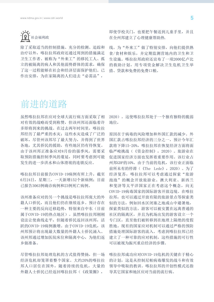

除了采取适当的控制措施、充分的检测、追踪和 治疗以外,喀拉拉邦政府还通过周到的措施满足 卫生工作者、被称为"外来工"的移民工人、孤 立的被隔离的病人和其他弱势群体的需求,确保 了这一过程能够在社会和经济层面保护他们。已 作出安排,为在家隔离的人们送去"必需品",

即使学校关门,也要把午餐送到儿童手里,并且 在全州邦建立了心理健康帮助热.

线。为"外来工"做了特别安排,向他们提供熟 食/食材和娱乐,并定期监测营地内的卫生和卫 生设施。喀拉拉邦政府还宣布了一项2000亿卢比 的救助计划,用专项资金解决卫生危机卫生举 措、贷款和免费的免费口粮。

### 前进的道路

虽然喀拉拉邦在应对全球大流行病方面采取了相 对有效的战略而受到称赞,但该州邦还面临着许 多即将到来的挑战。在过去两年时间里,喀拉拉 邦经历了最严重的水灾;这些水灾造成了广泛的 破坏,尽管州该邦尽了最大努力,并得到了世界 各地,尤其侨民的援助,有些地区仍有待恢复。 由于该州邦正准备应对8月份的强季风,需要采 取预防措施控制季风的蔓延,同时要考虑到可能 发生的进一步洪水和山体滑坡的连锁反应。

喀拉拉邦目前报告COVID-19病例有所上升,截至 6月24日,星期三,一天新增152个新病例;目前 已报告3063例确诊病例和23例死亡病例。

该州准备应对的另一个挑战是喀拉拉邦庞大的外 籍人口侨民,而且他们仍在继续返乡。预计存在 一种主要的反向迁移趋势,特别来自中东(目前 属于COVID-19的热点地区)。虽然喀拉拉邦刚刚 设法让使曲线走平,但随着侨民返回该州邦,活 跃的COVID-19病例激增。由于COVID-19危机,该 州邦预计将出现最大数量的外籍人士侨民涌入。 该州邦通过增加医院床位和隔离中心,为他们返 乡做准备。

尽管喀拉拉邦处理危机的方式值得赞扬,但一场 经济危机却笼罩着整个国家。大约20%的喀拉拉 邦人口居住在国外,随着持续的危机,大量的 外籍人士侨民已经返回喀拉拉邦(《政策圈》,

2020)。这使喀拉拉邦处于一个独有独特的脆弱 地位,

原因在于病毒的风险增加和外国汇款的减少。外 国汇款占喀拉拉邦经济的三分之一,预计今年汇 款将下降15-20%,喀拉拉邦在恢复经济方面将面 临严峻挑战(《资金控制》,2020)。旅游业在 促进国家经济方面也发挥着重要作用。该行业占 州邦GDP的10%。由于当前的危机,该行业正面临 前所未有的停滞(《The Lede》,2020)。为了 经济复苏,喀拉拉邦可以考虑通过探索"旅游 泡泡"的概念开放旅游业。澳大利亚、新西兰 和斐济等太平洋国家正在考虑这个概念,向无 COVID-19病毒国家的国际游客开放边境。在喀拉 拉邦,也可以通过开放有限的旅游景点等探索类 似的方法,例如回水区闭塞之地或山中避暑地, 探索类似的方法。游客可以被安置在远离普通的 社区的隔离区,并且为机场出发的游客设立一个 专门区,直至他们被转移到在地理上隔绝的度假 胜地。现有的国家应对机制可以通过严格的预防 措施处理国际游客的流入。考虑到喀拉拉邦已经 建立了一种可靠的应对机制,这些措施的可行性 可以被视为振兴重启经济的步骤。

喀拉拉邦成功应对COVID-19危机的关键在于精心 的计划,这是从控制尼帕病毒爆发的战斗和有效 领导中吸取的教训。喀拉拉邦的开创性模式还指 导其它国家和地区应对当前的流行病。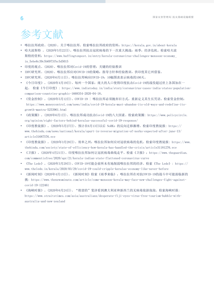## 参考文献

- 喀拉拉邦政府。(2020)。关于喀拉拉邦。检索喀拉拉邦政府的资料:https://kerala.gov.in/about-kerala
- 哈夫波斯特 。(2020年5月22日)。喀拉拉邦抗击冠状病毒的下一次重大挑战:雨季,经济危机。检索哈夫波 斯特的资料:https://www.huffingtonpost.in/entry/kerala-coronavirus-challenges-monsoon-economy\_ in\_5ebe6c39c5b6973fbc5d5015
- 印度的观点。(2020)。喀拉拉邦对Covid-19的管理:关键的经验教训
- IDFC研究所。(2020)。喀拉拉邦应对COVID-19的策略:指导方针和经验教训,供印度其它州借鉴。
- IDFC研究所。(2020年6月11日)。喀拉拉邦响应COVID-19:10幅图表表示病毒的100天。
- 《今日印度》。(2020年4月19日)。每州一个国家:庞大的人口使得印度抗击Covid-19的战役超过世上各国加在一 起。 检索《今日印度》: https://www.indiatoday.in/india/story/coronavirus-cases-india-states-populationcomparison-countries-graphic-1668354-2020-04-18。
- 《资金控制》。(2020年5月12日)。COVID-19 | 喀拉拉邦必须抛弃旧方式,重新定义其生长咒语。检索资金控制: https://www.moneycontrol.com/news/india/covid-19-kerala-must-abandon-its-old-ways-and-redefine-itsgrowth-mantra-5253961.html
- 《政策圈》。(2020年6月1日)。喀拉拉邦成功抗击Covid-19的八大因素。检索政策圈: https://www.policycircle. org/opinion/eight-factors-behind-keralas-successful-covid-19-response/
- 《印度教徒报》。(2020年5月27日)。预计在6月13日以后 NoRKs 的反向迁移激增。检索印度教徒报: https:// www.thehindu.com/news/national/kerala/spurt-in-reverse-migration-of-norks-expected-after-june-13/ article31687576.ece
- 《印度教徒报》。(2020年3月28日)。效率之州:喀拉拉邦如何应对冠状病毒的危机。检索印度教徒报: https://www. thehindu.com/society/state-of-efficiency-how-kerala-has-handled-the-crisis/article31181276.ece
- 《卫报》。(2020年4月21日)。印度喀拉拉邦如何让冠状病毒曲线走平。检索《卫报》:https://www.theguardian. com/commentisfree/2020/apr/21/kerala-indian-state-flattened-coronavirus-curve
- 《The Lede》。(2020年3月29日)。COVID-19可能会前所未有地削弱喀拉拉邦的经济。检索《The Lede》: https:// www.thelede.in/kerala/2020/03/29/covid-19-could-cripple-keralas-economy-like-never-before
- 《新闻时刻》(2020年4月13日)。《新闻时刻》检索《雨季来临》,喀拉拉邦在对抗COVID-19的战斗中可能面临新的 挑: https://www.thenewsminute.com/article/come-monsoon-kerala-may-face-new-challenges-fight-againstcovid-19-122461
- 《海峡时报》。(2020年6月24日)。"绝望的"斐济看到澳大利亚和新西兰的无病毒旅游泡泡。检索海峡时报: https://www.straitstimes.com/asia/australianz/desperate-fiji-eyes-virus-free-tourism-bubble-withaustralia-and-new-zealand